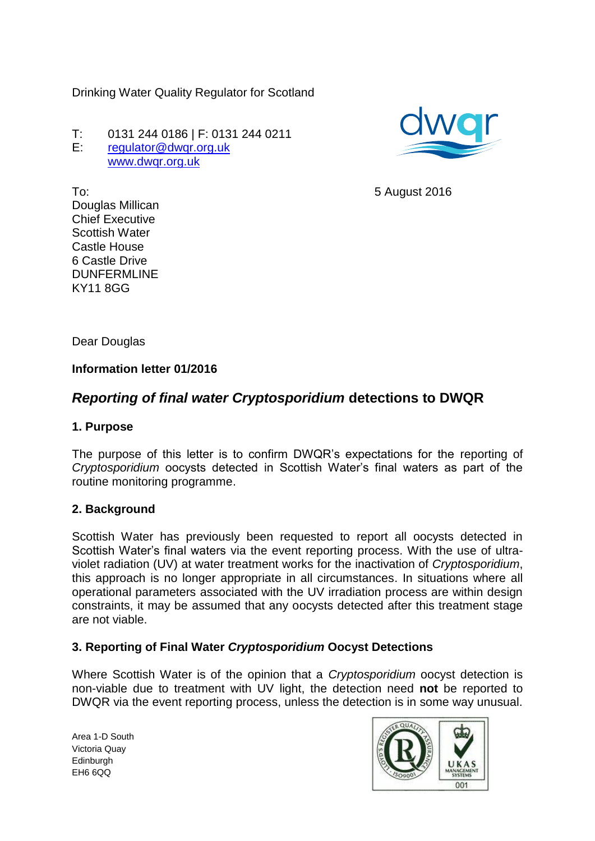Drinking Water Quality Regulator for Scotland

T: 0131 244 0186 | F: 0131 244 0211 E: [regulator@dwqr.org.uk](mailto:regulator@dwqr.org.uk)  [www.dwqr.org.uk](http://www.dwqr.org.uk/)



5 August 2016

To: Douglas Millican Chief Executive Scottish Water Castle House 6 Castle Drive DUNFERMLINE KY11 8GG

Dear Douglas

## **Information letter 01/2016**

# *Reporting of final water Cryptosporidium* **detections to DWQR**

#### **1. Purpose**

The purpose of this letter is to confirm DWQR's expectations for the reporting of *Cryptosporidium* oocysts detected in Scottish Water's final waters as part of the routine monitoring programme.

#### **2. Background**

Scottish Water has previously been requested to report all oocysts detected in Scottish Water's final waters via the event reporting process. With the use of ultraviolet radiation (UV) at water treatment works for the inactivation of *Cryptosporidium*, this approach is no longer appropriate in all circumstances. In situations where all operational parameters associated with the UV irradiation process are within design constraints, it may be assumed that any oocysts detected after this treatment stage are not viable.

## **3. Reporting of Final Water** *Cryptosporidium* **Oocyst Detections**

Where Scottish Water is of the opinion that a *Cryptosporidium* oocyst detection is non-viable due to treatment with UV light, the detection need **not** be reported to DWQR via the event reporting process, unless the detection is in some way unusual.

Area 1-D South Victoria Quay **Edinburgh** EH6 6QQ

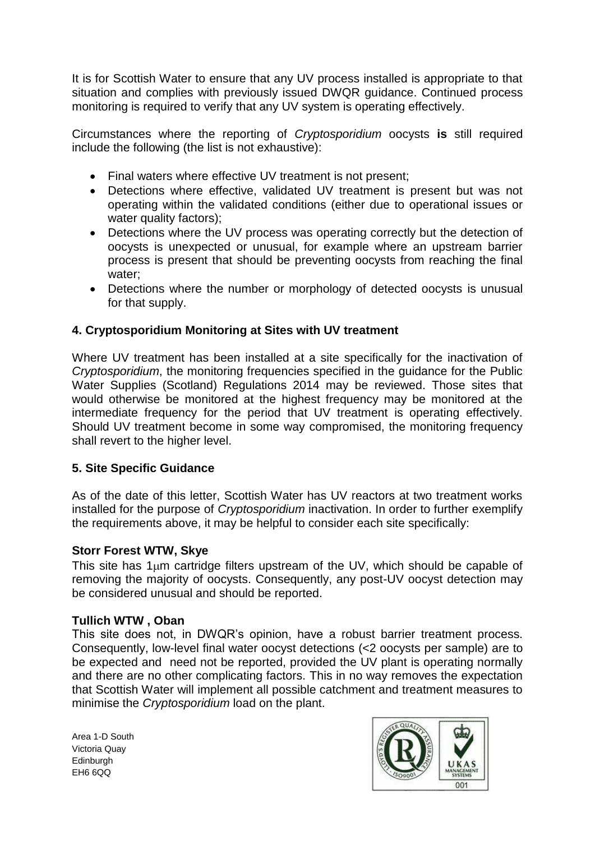It is for Scottish Water to ensure that any UV process installed is appropriate to that situation and complies with previously issued DWQR guidance. Continued process monitoring is required to verify that any UV system is operating effectively.

Circumstances where the reporting of *Cryptosporidium* oocysts **is** still required include the following (the list is not exhaustive):

- Final waters where effective UV treatment is not present;
- Detections where effective, validated UV treatment is present but was not operating within the validated conditions (either due to operational issues or water quality factors);
- Detections where the UV process was operating correctly but the detection of oocysts is unexpected or unusual, for example where an upstream barrier process is present that should be preventing oocysts from reaching the final water;
- Detections where the number or morphology of detected oocysts is unusual for that supply.

## **4. Cryptosporidium Monitoring at Sites with UV treatment**

Where UV treatment has been installed at a site specifically for the inactivation of *Cryptosporidium*, the monitoring frequencies specified in the guidance for the Public Water Supplies (Scotland) Regulations 2014 may be reviewed. Those sites that would otherwise be monitored at the highest frequency may be monitored at the intermediate frequency for the period that UV treatment is operating effectively. Should UV treatment become in some way compromised, the monitoring frequency shall revert to the higher level.

## **5. Site Specific Guidance**

As of the date of this letter, Scottish Water has UV reactors at two treatment works installed for the purpose of *Cryptosporidium* inactivation. In order to further exemplify the requirements above, it may be helpful to consider each site specifically:

## **Storr Forest WTW, Skye**

This site has  $1\mu$ m cartridge filters upstream of the UV, which should be capable of removing the majority of oocysts. Consequently, any post-UV oocyst detection may be considered unusual and should be reported.

## **Tullich WTW , Oban**

This site does not, in DWQR's opinion, have a robust barrier treatment process. Consequently, low-level final water oocyst detections (<2 oocysts per sample) are to be expected and need not be reported, provided the UV plant is operating normally and there are no other complicating factors. This in no way removes the expectation that Scottish Water will implement all possible catchment and treatment measures to minimise the *Cryptosporidium* load on the plant.

Area 1-D South Victoria Quay **Edinburgh** EH6 6QQ